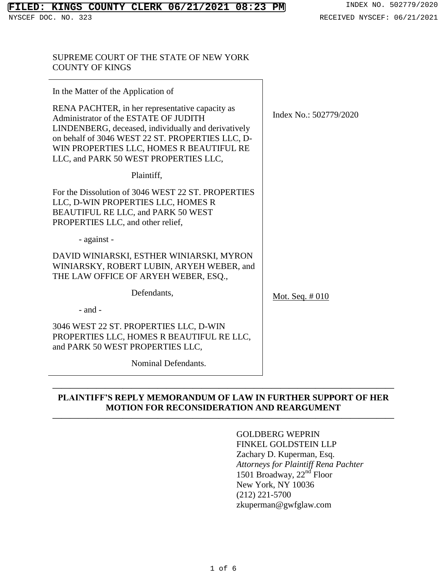## SUPREME COURT OF THE STATE OF NEW YORK COUNTY OF KINGS

| In the Matter of the Application of                                                                                                                                                                                                                                                      |                        |
|------------------------------------------------------------------------------------------------------------------------------------------------------------------------------------------------------------------------------------------------------------------------------------------|------------------------|
| RENA PACHTER, in her representative capacity as<br>Administrator of the ESTATE OF JUDITH<br>LINDENBERG, deceased, individually and derivatively<br>on behalf of 3046 WEST 22 ST. PROPERTIES LLC, D-<br>WIN PROPERTIES LLC, HOMES R BEAUTIFUL RE<br>LLC, and PARK 50 WEST PROPERTIES LLC, | Index No.: 502779/2020 |
| Plaintiff,                                                                                                                                                                                                                                                                               |                        |
| For the Dissolution of 3046 WEST 22 ST. PROPERTIES<br>LLC, D-WIN PROPERTIES LLC, HOMES R<br>BEAUTIFUL RE LLC, and PARK 50 WEST<br>PROPERTIES LLC, and other relief,                                                                                                                      |                        |
| - against -                                                                                                                                                                                                                                                                              |                        |
| DAVID WINIARSKI, ESTHER WINIARSKI, MYRON<br>WINIARSKY, ROBERT LUBIN, ARYEH WEBER, and<br>THE LAW OFFICE OF ARYEH WEBER, ESQ.,                                                                                                                                                            |                        |
| Defendants,                                                                                                                                                                                                                                                                              | Mot. Seq. $\#010$      |
| $-$ and $-$                                                                                                                                                                                                                                                                              |                        |
| 3046 WEST 22 ST. PROPERTIES LLC, D-WIN<br>PROPERTIES LLC, HOMES R BEAUTIFUL RE LLC,<br>and PARK 50 WEST PROPERTIES LLC,                                                                                                                                                                  |                        |
| Nominal Defendants.                                                                                                                                                                                                                                                                      |                        |

# **PLAINTIFF'S REPLY MEMORANDUM OF LAW IN FURTHER SUPPORT OF HER MOTION FOR RECONSIDERATION AND REARGUMENT**

**———————————————————————————————————————**

**———————————————————————————————————————**

# GOLDBERG WEPRIN

FINKEL GOLDSTEIN LLP Zachary D. Kuperman, Esq. *Attorneys for Plaintiff Rena Pachter* 1501 Broadway, 22<sup>nd</sup> Floor New York, NY 10036 (212) 221-5700 zkuperman@gwfglaw.com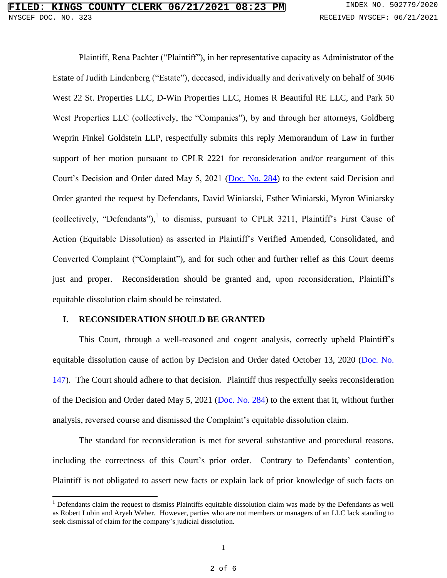Plaintiff, Rena Pachter ("Plaintiff"), in her representative capacity as Administrator of the Estate of Judith Lindenberg ("Estate"), deceased, individually and derivatively on behalf of 3046 West 22 St. Properties LLC, D-Win Properties LLC, Homes R Beautiful RE LLC, and Park 50 West Properties LLC (collectively, the "Companies"), by and through her attorneys, Goldberg Weprin Finkel Goldstein LLP, respectfully submits this reply Memorandum of Law in further support of her motion pursuant to CPLR 2221 for reconsideration and/or reargument of this Court's Decision and Order dated May 5, 2021 [\(Doc. No. 284\)](https://iapps.courts.state.ny.us/nyscef/ViewDocument?docIndex=3pxsoEgaOA16qbvxtsPHwA==) to the extent said Decision and Order granted the request by Defendants, David Winiarski, Esther Winiarski, Myron Winiarsky (collectively, "Defendants"),<sup>1</sup> to dismiss, pursuant to CPLR 3211, Plaintiff's First Cause of Action (Equitable Dissolution) as asserted in Plaintiff's Verified Amended, Consolidated, and Converted Complaint ("Complaint"), and for such other and further relief as this Court deems just and proper. Reconsideration should be granted and, upon reconsideration, Plaintiff's equitable dissolution claim should be reinstated.

### **I. RECONSIDERATION SHOULD BE GRANTED**

 $\overline{\phantom{a}}$ 

This Court, through a well-reasoned and cogent analysis, correctly upheld Plaintiff's equitable dissolution cause of action by Decision and Order dated October 13, 2020 [\(Doc. No.](https://iapps.courts.state.ny.us/nyscef/ViewDocument?docIndex=t/JkNz1skqXwfS8Mufu0SQ==)  [147\)](https://iapps.courts.state.ny.us/nyscef/ViewDocument?docIndex=t/JkNz1skqXwfS8Mufu0SQ==). The Court should adhere to that decision. Plaintiff thus respectfully seeks reconsideration of the Decision and Order dated May 5, 2021 [\(Doc. No. 284\)](https://iapps.courts.state.ny.us/nyscef/ViewDocument?docIndex=3pxsoEgaOA16qbvxtsPHwA==) to the extent that it, without further analysis, reversed course and dismissed the Complaint's equitable dissolution claim.

The standard for reconsideration is met for several substantive and procedural reasons, including the correctness of this Court's prior order. Contrary to Defendants' contention, Plaintiff is not obligated to assert new facts or explain lack of prior knowledge of such facts on

<sup>&</sup>lt;sup>1</sup> Defendants claim the request to dismiss Plaintiffs equitable dissolution claim was made by the Defendants as well as Robert Lubin and Aryeh Weber. However, parties who are not members or managers of an LLC lack standing to seek dismissal of claim for the company's judicial dissolution.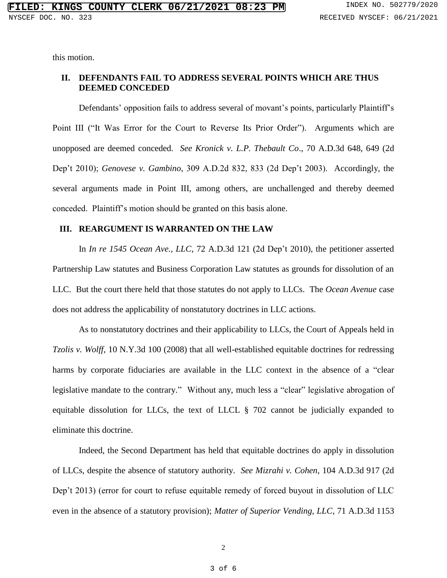this motion.

## **II. DEFENDANTS FAIL TO ADDRESS SEVERAL POINTS WHICH ARE THUS DEEMED CONCEDED**

Defendants' opposition fails to address several of movant's points, particularly Plaintiff's Point III ("It Was Error for the Court to Reverse Its Prior Order"). Arguments which are unopposed are deemed conceded. *See Kronick v. L.P. Thebault Co*., 70 A.D.3d 648, 649 (2d Dep't 2010); *Genovese v. Gambino*, 309 A.D.2d 832, 833 (2d Dep't 2003). Accordingly, the several arguments made in Point III, among others, are unchallenged and thereby deemed conceded. Plaintiff's motion should be granted on this basis alone.

### **III. REARGUMENT IS WARRANTED ON THE LAW**

In *In re 1545 Ocean Ave., LLC*, 72 A.D.3d 121 (2d Dep't 2010), the petitioner asserted Partnership Law statutes and Business Corporation Law statutes as grounds for dissolution of an LLC. But the court there held that those statutes do not apply to LLCs. The *Ocean Avenue* case does not address the applicability of nonstatutory doctrines in LLC actions.

As to nonstatutory doctrines and their applicability to LLCs, the Court of Appeals held in *Tzolis v. Wolff*, 10 N.Y.3d 100 (2008) that all well-established equitable doctrines for redressing harms by corporate fiduciaries are available in the LLC context in the absence of a "clear legislative mandate to the contrary." Without any, much less a "clear" legislative abrogation of equitable dissolution for LLCs, the text of LLCL § 702 cannot be judicially expanded to eliminate this doctrine.

Indeed, the Second Department has held that equitable doctrines do apply in dissolution of LLCs, despite the absence of statutory authority. *See Mizrahi v. Cohen*, 104 A.D.3d 917 (2d Dep't 2013) (error for court to refuse equitable remedy of forced buyout in dissolution of LLC even in the absence of a statutory provision); *Matter of Superior Vending, LLC*, 71 A.D.3d 1153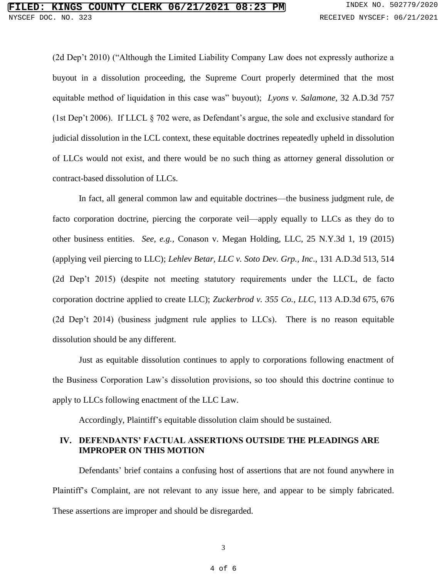(2d Dep't 2010) ("Although the Limited Liability Company Law does not expressly authorize a buyout in a dissolution proceeding, the Supreme Court properly determined that the most equitable method of liquidation in this case was" buyout); *Lyons v. Salamone*, 32 A.D.3d 757 (1st Dep't 2006). If LLCL § 702 were, as Defendant's argue, the sole and exclusive standard for judicial dissolution in the LCL context, these equitable doctrines repeatedly upheld in dissolution of LLCs would not exist, and there would be no such thing as attorney general dissolution or contract-based dissolution of LLCs.

In fact, all general common law and equitable doctrines—the business judgment rule, de facto corporation doctrine, piercing the corporate veil—apply equally to LLCs as they do to other business entities. *See, e.g.,* Conason v. Megan Holding, LLC, 25 N.Y.3d 1, 19 (2015) (applying veil piercing to LLC); *Lehlev Betar, LLC v. Soto Dev. Grp., Inc*., 131 A.D.3d 513, 514 (2d Dep't 2015) (despite not meeting statutory requirements under the LLCL, de facto corporation doctrine applied to create LLC); *Zuckerbrod v. 355 Co., LLC*, 113 A.D.3d 675, 676 (2d Dep't 2014) (business judgment rule applies to LLCs). There is no reason equitable dissolution should be any different.

Just as equitable dissolution continues to apply to corporations following enactment of the Business Corporation Law's dissolution provisions, so too should this doctrine continue to apply to LLCs following enactment of the LLC Law.

Accordingly, Plaintiff's equitable dissolution claim should be sustained.

### **IV. DEFENDANTS' FACTUAL ASSERTIONS OUTSIDE THE PLEADINGS ARE IMPROPER ON THIS MOTION**

Defendants' brief contains a confusing host of assertions that are not found anywhere in Plaintiff's Complaint, are not relevant to any issue here, and appear to be simply fabricated. These assertions are improper and should be disregarded.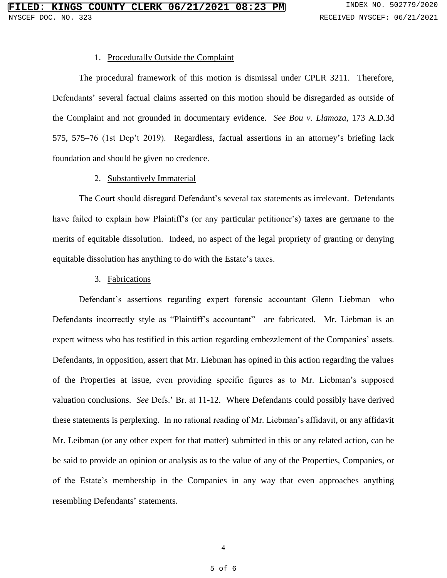#### 1. Procedurally Outside the Complaint

The procedural framework of this motion is dismissal under CPLR 3211. Therefore, Defendants' several factual claims asserted on this motion should be disregarded as outside of the Complaint and not grounded in documentary evidence. *See Bou v. Llamoza*, 173 A.D.3d 575, 575–76 (1st Dep't 2019). Regardless, factual assertions in an attorney's briefing lack foundation and should be given no credence.

### 2. Substantively Immaterial

The Court should disregard Defendant's several tax statements as irrelevant. Defendants have failed to explain how Plaintiff's (or any particular petitioner's) taxes are germane to the merits of equitable dissolution. Indeed, no aspect of the legal propriety of granting or denying equitable dissolution has anything to do with the Estate's taxes.

#### 3. Fabrications

Defendant's assertions regarding expert forensic accountant Glenn Liebman—who Defendants incorrectly style as "Plaintiff's accountant"—are fabricated. Mr. Liebman is an expert witness who has testified in this action regarding embezzlement of the Companies' assets. Defendants, in opposition, assert that Mr. Liebman has opined in this action regarding the values of the Properties at issue, even providing specific figures as to Mr. Liebman's supposed valuation conclusions. *See* Defs.' Br. at 11-12. Where Defendants could possibly have derived these statements is perplexing. In no rational reading of Mr. Liebman's affidavit, or any affidavit Mr. Leibman (or any other expert for that matter) submitted in this or any related action, can he be said to provide an opinion or analysis as to the value of any of the Properties, Companies, or of the Estate's membership in the Companies in any way that even approaches anything resembling Defendants' statements.